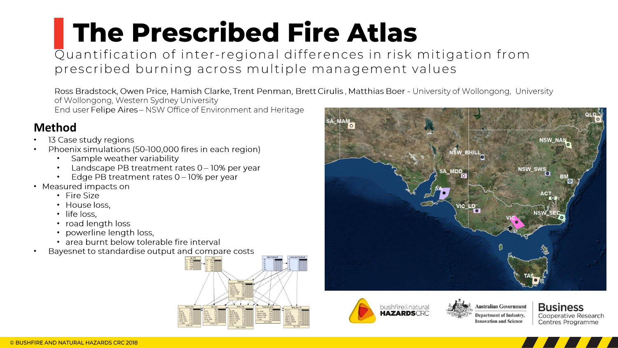## **The Prescribed Fire Atlas**

Quantification of inter-regional differences in risk mitigation from prescribed burning across multiple management values

Ross Bradstock, Owen Price, Hamish Clarke, Trent Penman, Brett Cirulis, Matthias Boer - University of Wollongong, University of Wollongong, Western Sydney University

End user Felipe Aires - NSW Office of Environment and Heritage

## **Method**

- 13 Case study regions
- •• Phoenix simulations (50-100,000 fires in each region)
	- Sample weather variability
	- •<br>•<br>• Landscape PB treatment rates 0 - 10% per year
	- Edge PB treatment rates 0 10% per year
- Measured impacts on
	- Fire Size
	- House loss.
	- · life loss.
	- road length loss
	- •••••• • powerline length loss,
	- · area burnt below tolerable fire interval
- •Bayesnet to standardise output and compare costs









**Business** Cooperative Research Centres Programme

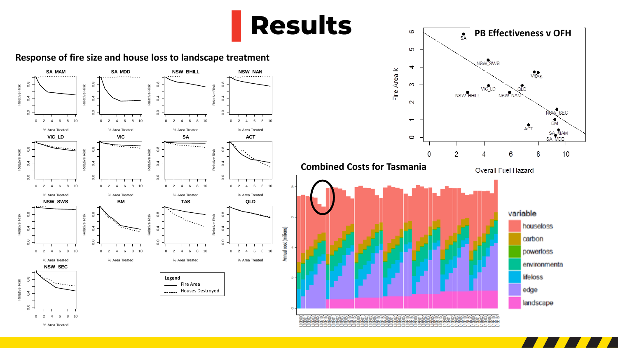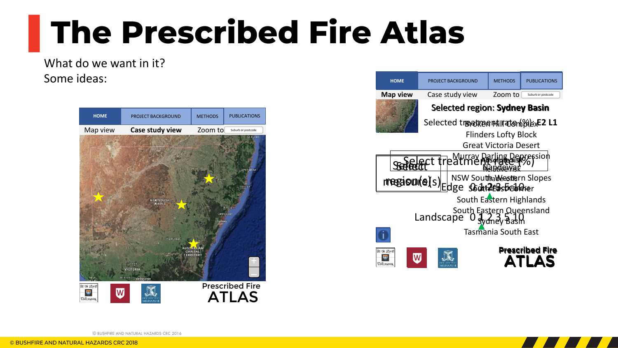## **The Prescribed Fire Atlas**

What do we want in it? Some ideas:







© BUSHFIRE AND NATURAL HAZARDS CRC 2016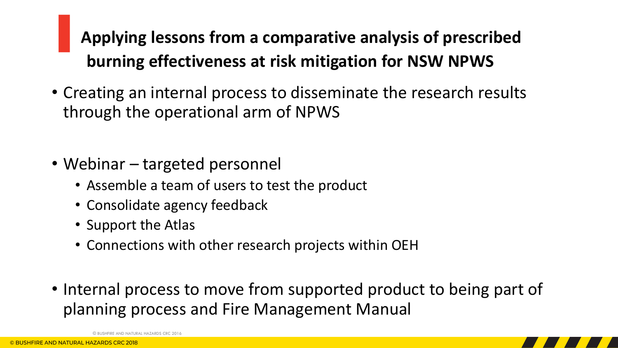## ▌**Applying lessons from a comparative analysis of prescribed burning effectiveness at risk mitigation for NSW NPWS**

- Creating an internal process to disseminate the research results through the operational arm of NPWS
- Webinar targeted personnel
	- Assemble a team of users to test the product
	- Consolidate agency feedback
	- Support the Atlas
	- Connections with other research projects within OEH
- Internal process to move from supported product to being part of planning process and Fire Management Manual

NATURAL HAZARDS CRC 2016